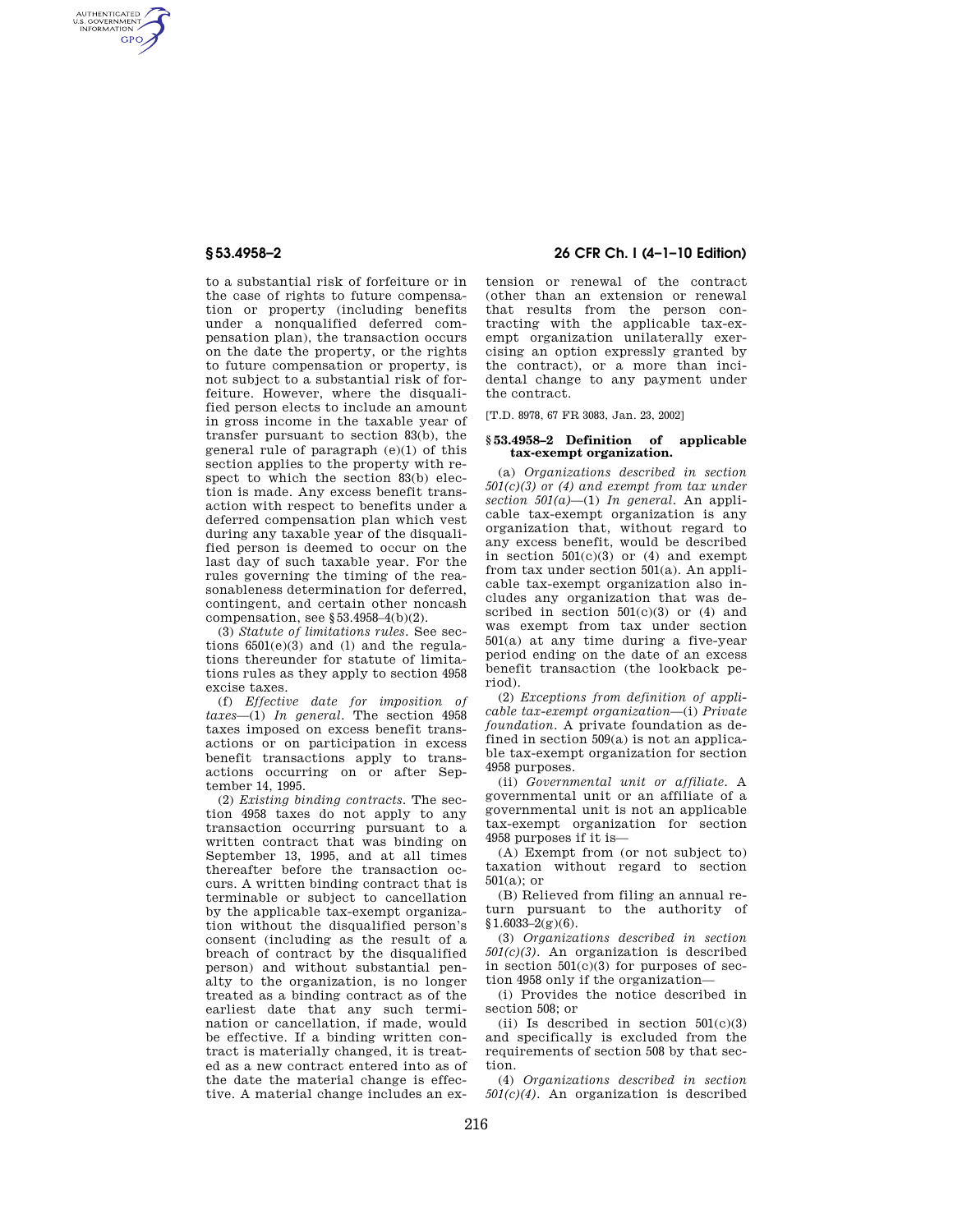AUTHENTICATED<br>U.S. GOVERNMENT<br>INFORMATION **GPO** 

> to a substantial risk of forfeiture or in the case of rights to future compensation or property (including benefits under a nonqualified deferred compensation plan), the transaction occurs on the date the property, or the rights to future compensation or property, is not subject to a substantial risk of forfeiture. However, where the disqualified person elects to include an amount in gross income in the taxable year of transfer pursuant to section 83(b), the general rule of paragraph (e)(1) of this section applies to the property with respect to which the section 83(b) election is made. Any excess benefit transaction with respect to benefits under a deferred compensation plan which vest during any taxable year of the disqualified person is deemed to occur on the last day of such taxable year. For the rules governing the timing of the reasonableness determination for deferred, contingent, and certain other noncash compensation, see §53.4958–4(b)(2).

> (3) *Statute of limitations rules.* See sections  $6501(e)(3)$  and (1) and the regulations thereunder for statute of limitations rules as they apply to section 4958 excise taxes.

> (f) *Effective date for imposition of taxes*—(1) *In general.* The section 4958 taxes imposed on excess benefit transactions or on participation in excess benefit transactions apply to transactions occurring on or after September 14, 1995.

> (2) *Existing binding contracts.* The section 4958 taxes do not apply to any transaction occurring pursuant to a written contract that was binding on September 13, 1995, and at all times thereafter before the transaction occurs. A written binding contract that is terminable or subject to cancellation by the applicable tax-exempt organization without the disqualified person's consent (including as the result of a breach of contract by the disqualified person) and without substantial penalty to the organization, is no longer treated as a binding contract as of the earliest date that any such termination or cancellation, if made, would be effective. If a binding written contract is materially changed, it is treated as a new contract entered into as of the date the material change is effective. A material change includes an ex-

# **§ 53.4958–2 26 CFR Ch. I (4–1–10 Edition)**

tension or renewal of the contract (other than an extension or renewal that results from the person contracting with the applicable tax-exempt organization unilaterally exercising an option expressly granted by the contract), or a more than incidental change to any payment under the contract.

[T.D. 8978, 67 FR 3083, Jan. 23, 2002]

## **§ 53.4958–2 Definition of applicable tax-exempt organization.**

(a) *Organizations described in section 501(c)(3) or (4) and exempt from tax under section 501(a)*—(1) *In general.* An applicable tax-exempt organization is any organization that, without regard to any excess benefit, would be described in section 501(c)(3) or (4) and exempt from tax under section 501(a). An applicable tax-exempt organization also includes any organization that was described in section  $501(c)(3)$  or  $(4)$  and was exempt from tax under section 501(a) at any time during a five-year period ending on the date of an excess benefit transaction (the lookback period).

(2) *Exceptions from definition of applicable tax-exempt organization*—(i) *Private foundation.* A private foundation as defined in section 509(a) is not an applicable tax-exempt organization for section 4958 purposes.

(ii) *Governmental unit or affiliate.* A governmental unit or an affiliate of a governmental unit is not an applicable tax-exempt organization for section 4958 purposes if it is—

(A) Exempt from (or not subject to) taxation without regard to section 501(a); or

(B) Relieved from filing an annual return pursuant to the authority of  $$1.6033-2(g)(6).$ 

(3) *Organizations described in section 501(c)(3).* An organization is described in section  $501(c)(3)$  for purposes of section 4958 only if the organization—

(i) Provides the notice described in section 508; or

(ii) Is described in section  $501(c)(3)$ and specifically is excluded from the requirements of section 508 by that section.

(4) *Organizations described in section*   $501(c)(4)$ . An organization is described